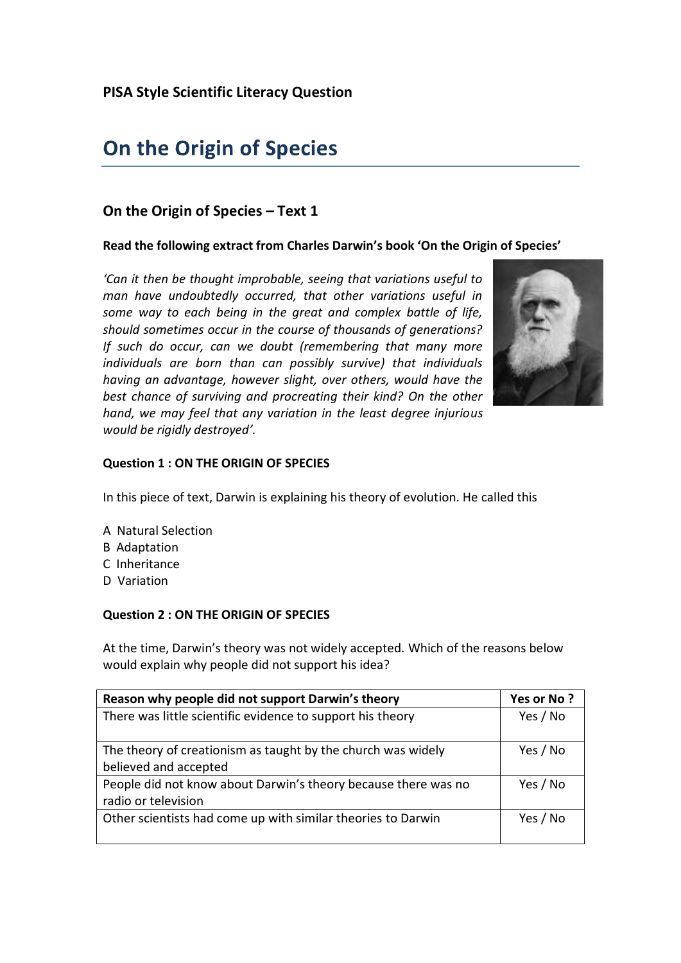# On the Origin of Species

# **On the Origin of Species – Text 1**

#### **Read the following extract from Charles Darwin's book 'On the Origin of Species'**

*'Can it then be thought improbable, seeing that variations useful to man have undoubtedly occurred, that other variations useful in some way to each being in the great and complex battle of life, should sometimes occur in the course of thousands of generations? If such do occur, can we doubt (remembering that many more individuals are born than can possibly survive) that individuals having an advantage, however slight, over others, would have the best chance of surviving and procreating their kind? On the other hand, we may feel that any variation in the least degree injurious would be rigidly destroyed'.*



#### **Question 1 : ON THE ORIGIN OF SPECIES**

In this piece of text, Darwin is explaining his theory of evolution. He called this

- A Natural Selection
- B Adaptation
- C Inheritance
- D Variation

# **Question 2 : ON THE ORIGIN OF SPECIES**

At the time, Darwin's theory was not widely accepted. Which of the reasons below would explain why people did not support his idea?

| Reason why people did not support Darwin's theory              | Yes or No? |
|----------------------------------------------------------------|------------|
| There was little scientific evidence to support his theory     | Yes / No   |
|                                                                |            |
| The theory of creationism as taught by the church was widely   | Yes / No   |
| believed and accepted                                          |            |
| People did not know about Darwin's theory because there was no | Yes / No   |
| radio or television                                            |            |
| Other scientists had come up with similar theories to Darwin   | Yes / No   |
|                                                                |            |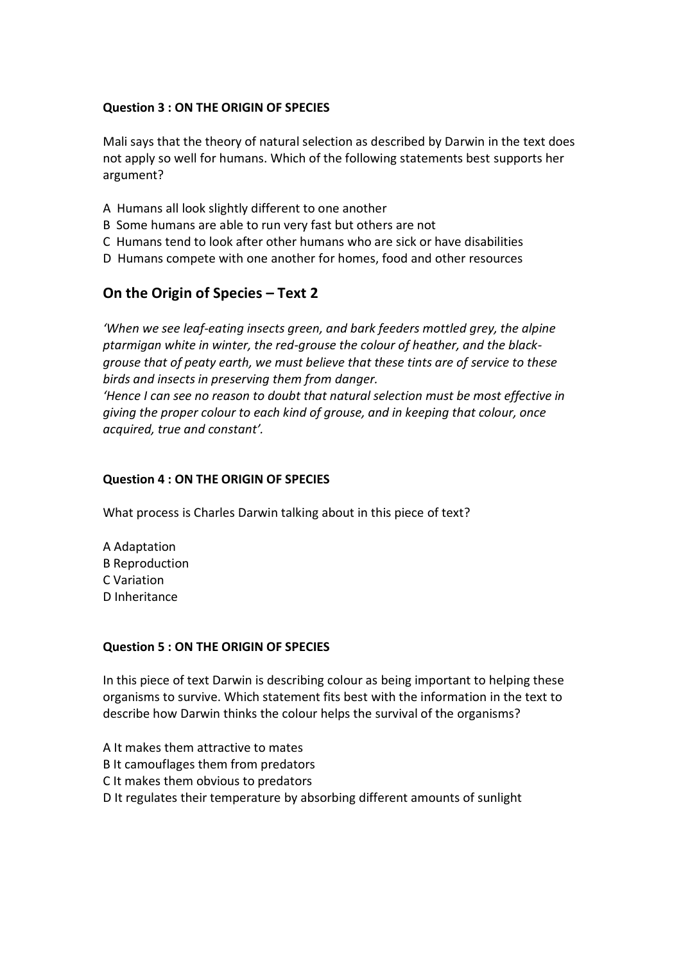# **Question 3 : ON THE ORIGIN OF SPECIES**

Mali says that the theory of natural selection as described by Darwin in the text does not apply so well for humans. Which of the following statements best supports her argument?

- A Humans all look slightly different to one another
- B Some humans are able to run very fast but others are not
- C Humans tend to look after other humans who are sick or have disabilities
- D Humans compete with one another for homes, food and other resources

# **On the Origin of Species – Text 2**

*'When we see leaf-eating insects green, and bark feeders mottled grey, the alpine ptarmigan white in winter, the red-grouse the colour of heather, and the blackgrouse that of peaty earth, we must believe that these tints are of service to these birds and insects in preserving them from danger.*

*'Hence I can see no reason to doubt that natural selection must be most effective in giving the proper colour to each kind of grouse, and in keeping that colour, once acquired, true and constant'.*

# **Question 4 : ON THE ORIGIN OF SPECIES**

What process is Charles Darwin talking about in this piece of text?

A Adaptation B Reproduction C Variation D Inheritance

#### **Question 5 : ON THE ORIGIN OF SPECIES**

In this piece of text Darwin is describing colour as being important to helping these organisms to survive. Which statement fits best with the information in the text to describe how Darwin thinks the colour helps the survival of the organisms?

A It makes them attractive to mates B It camouflages them from predators C It makes them obvious to predators D It regulates their temperature by absorbing different amounts of sunlight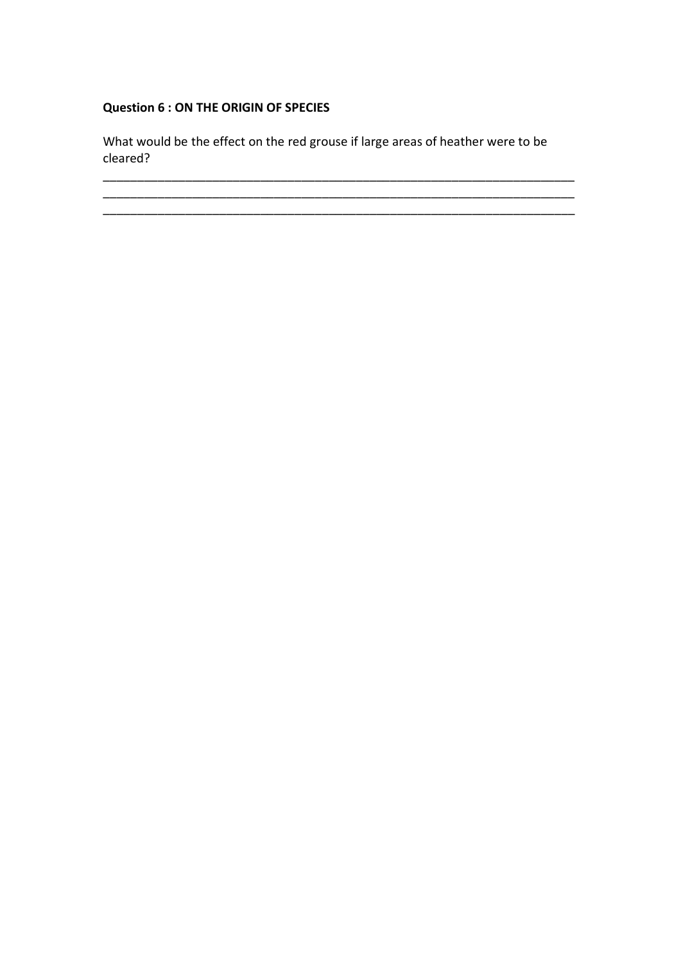# **Question 6 : ON THE ORIGIN OF SPECIES**

What would be the effect on the red grouse if large areas of heather were to be cleared?

\_\_\_\_\_\_\_\_\_\_\_\_\_\_\_\_\_\_\_\_\_\_\_\_\_\_\_\_\_\_\_\_\_\_\_\_\_\_\_\_\_\_\_\_\_\_\_\_\_\_\_\_\_\_\_\_\_\_\_\_\_\_\_\_\_\_\_\_\_ \_\_\_\_\_\_\_\_\_\_\_\_\_\_\_\_\_\_\_\_\_\_\_\_\_\_\_\_\_\_\_\_\_\_\_\_\_\_\_\_\_\_\_\_\_\_\_\_\_\_\_\_\_\_\_\_\_\_\_\_\_\_\_\_\_\_\_\_\_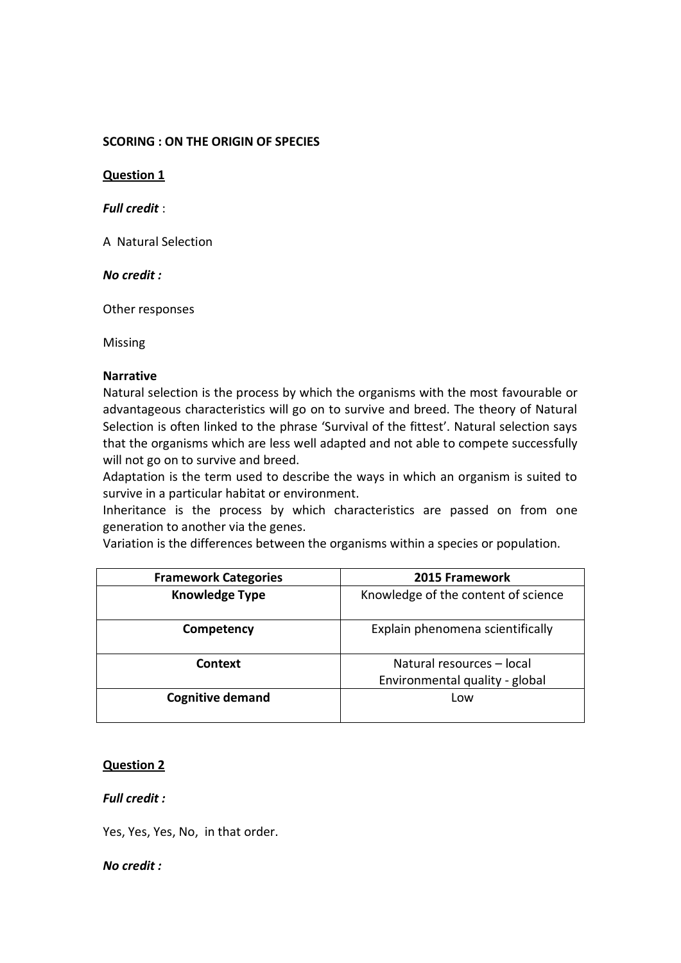#### **SCORING : ON THE ORIGIN OF SPECIES**

**Question 1**

*Full credit* :

A Natural Selection

*No credit :*

Other responses

Missing

#### **Narrative**

Natural selection is the process by which the organisms with the most favourable or advantageous characteristics will go on to survive and breed. The theory of Natural Selection is often linked to the phrase 'Survival of the fittest'. Natural selection says that the organisms which are less well adapted and not able to compete successfully will not go on to survive and breed.

Adaptation is the term used to describe the ways in which an organism is suited to survive in a particular habitat or environment.

Inheritance is the process by which characteristics are passed on from one generation to another via the genes.

Variation is the differences between the organisms within a species or population.

| <b>Framework Categories</b> | 2015 Framework                      |
|-----------------------------|-------------------------------------|
| <b>Knowledge Type</b>       | Knowledge of the content of science |
| Competency                  | Explain phenomena scientifically    |
| Context                     | Natural resources – local           |
|                             | Environmental quality - global      |
| <b>Cognitive demand</b>     | Low                                 |
|                             |                                     |

#### **Question 2**

#### *Full credit :*

Yes, Yes, Yes, No, in that order.

*No credit :*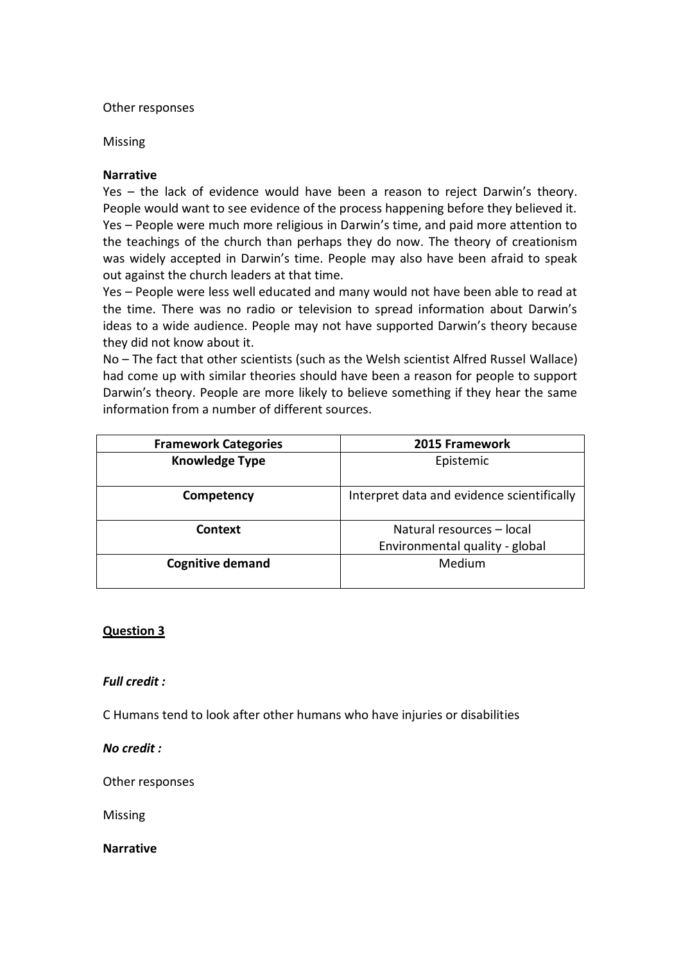#### Other responses

#### Missing

#### **Narrative**

Yes – the lack of evidence would have been a reason to reject Darwin's theory. People would want to see evidence of the process happening before they believed it. Yes – People were much more religious in Darwin's time, and paid more attention to the teachings of the church than perhaps they do now. The theory of creationism was widely accepted in Darwin's time. People may also have been afraid to speak out against the church leaders at that time.

Yes – People were less well educated and many would not have been able to read at the time. There was no radio or television to spread information about Darwin's ideas to a wide audience. People may not have supported Darwin's theory because they did not know about it.

No – The fact that other scientists (such as the Welsh scientist Alfred Russel Wallace) had come up with similar theories should have been a reason for people to support Darwin's theory. People are more likely to believe something if they hear the same information from a number of different sources.

| <b>Framework Categories</b> | 2015 Framework                             |
|-----------------------------|--------------------------------------------|
| <b>Knowledge Type</b>       | Epistemic                                  |
|                             |                                            |
| Competency                  | Interpret data and evidence scientifically |
| Context                     | Natural resources - local                  |
|                             | Environmental quality - global             |
| <b>Cognitive demand</b>     | Medium                                     |
|                             |                                            |

# **Question 3**

#### *Full credit :*

C Humans tend to look after other humans who have injuries or disabilities

*No credit :*

Other responses

Missing

**Narrative**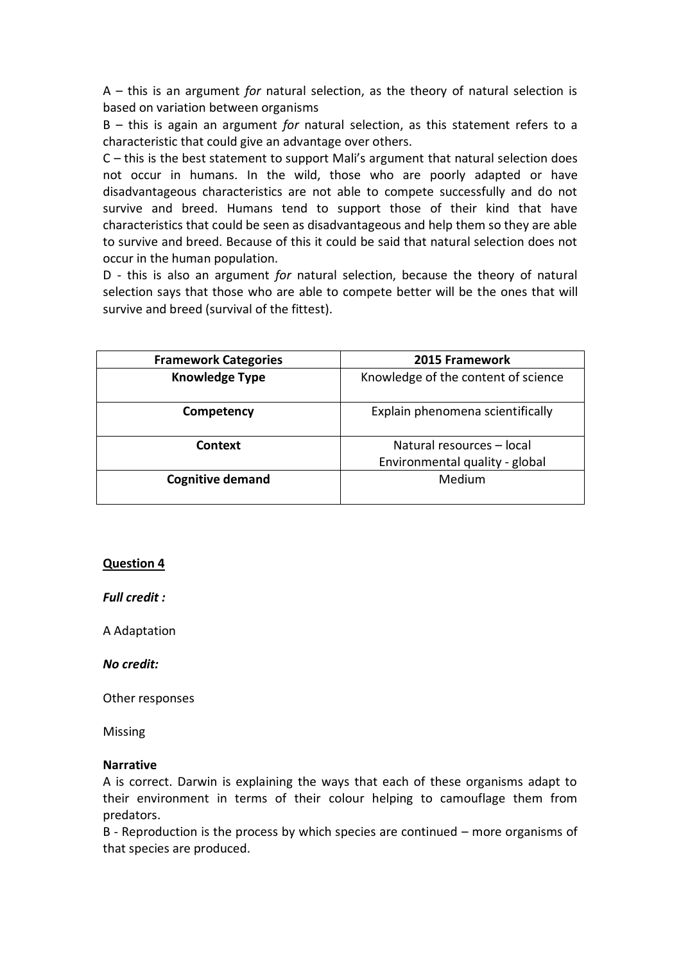A – this is an argument *for* natural selection, as the theory of natural selection is based on variation between organisms

B – this is again an argument *for* natural selection, as this statement refers to a characteristic that could give an advantage over others.

C – this is the best statement to support Mali's argument that natural selection does not occur in humans. In the wild, those who are poorly adapted or have disadvantageous characteristics are not able to compete successfully and do not survive and breed. Humans tend to support those of their kind that have characteristics that could be seen as disadvantageous and help them so they are able to survive and breed. Because of this it could be said that natural selection does not occur in the human population.

D - this is also an argument *for* natural selection, because the theory of natural selection says that those who are able to compete better will be the ones that will survive and breed (survival of the fittest).

| <b>Framework Categories</b> | 2015 Framework                                              |
|-----------------------------|-------------------------------------------------------------|
| <b>Knowledge Type</b>       | Knowledge of the content of science                         |
| Competency                  | Explain phenomena scientifically                            |
| Context                     | Natural resources - local<br>Environmental quality - global |
| <b>Cognitive demand</b>     | Medium                                                      |

#### **Question 4**

*Full credit :* 

A Adaptation

*No credit:* 

Other responses

Missing

#### **Narrative**

A is correct. Darwin is explaining the ways that each of these organisms adapt to their environment in terms of their colour helping to camouflage them from predators.

B - Reproduction is the process by which species are continued – more organisms of that species are produced.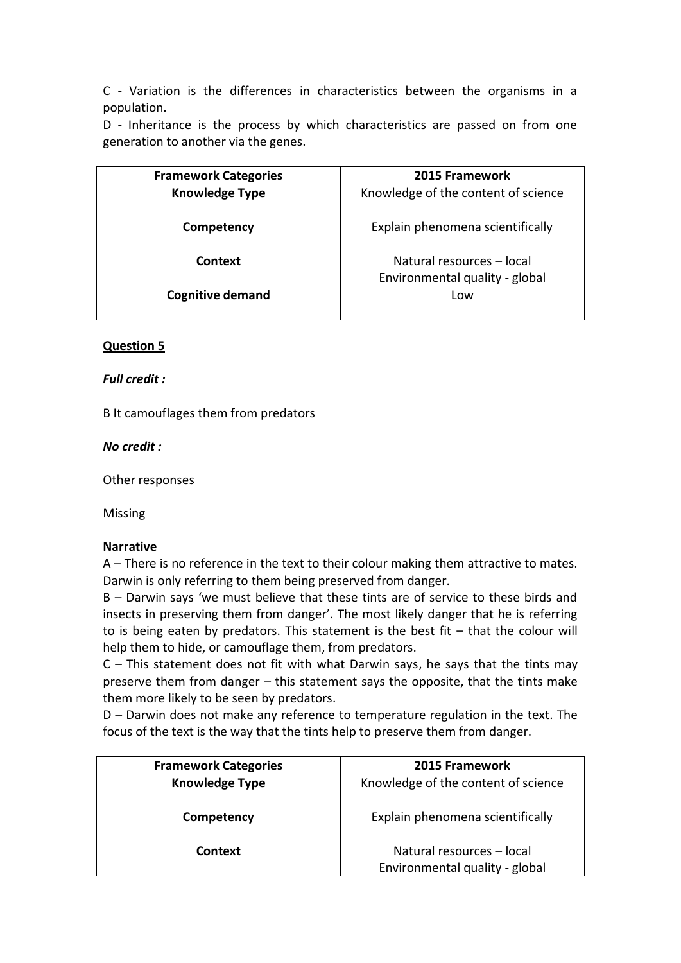C - Variation is the differences in characteristics between the organisms in a population.

D - Inheritance is the process by which characteristics are passed on from one generation to another via the genes.

| <b>Framework Categories</b> | 2015 Framework                      |
|-----------------------------|-------------------------------------|
| <b>Knowledge Type</b>       | Knowledge of the content of science |
| Competency                  | Explain phenomena scientifically    |
| Context                     | Natural resources - local           |
|                             | Environmental quality - global      |
| <b>Cognitive demand</b>     | Low                                 |
|                             |                                     |

#### **Question 5**

#### *Full credit :*

B It camouflages them from predators

#### *No credit :*

Other responses

Missing

#### **Narrative**

A – There is no reference in the text to their colour making them attractive to mates. Darwin is only referring to them being preserved from danger.

B – Darwin says 'we must believe that these tints are of service to these birds and insects in preserving them from danger'. The most likely danger that he is referring to is being eaten by predators. This statement is the best fit – that the colour will help them to hide, or camouflage them, from predators.

C – This statement does not fit with what Darwin says, he says that the tints may preserve them from danger – this statement says the opposite, that the tints make them more likely to be seen by predators.

D – Darwin does not make any reference to temperature regulation in the text. The focus of the text is the way that the tints help to preserve them from danger.

| <b>Framework Categories</b> | 2015 Framework                      |
|-----------------------------|-------------------------------------|
| <b>Knowledge Type</b>       | Knowledge of the content of science |
| Competency                  | Explain phenomena scientifically    |
| Context                     | Natural resources - local           |
|                             | Environmental quality - global      |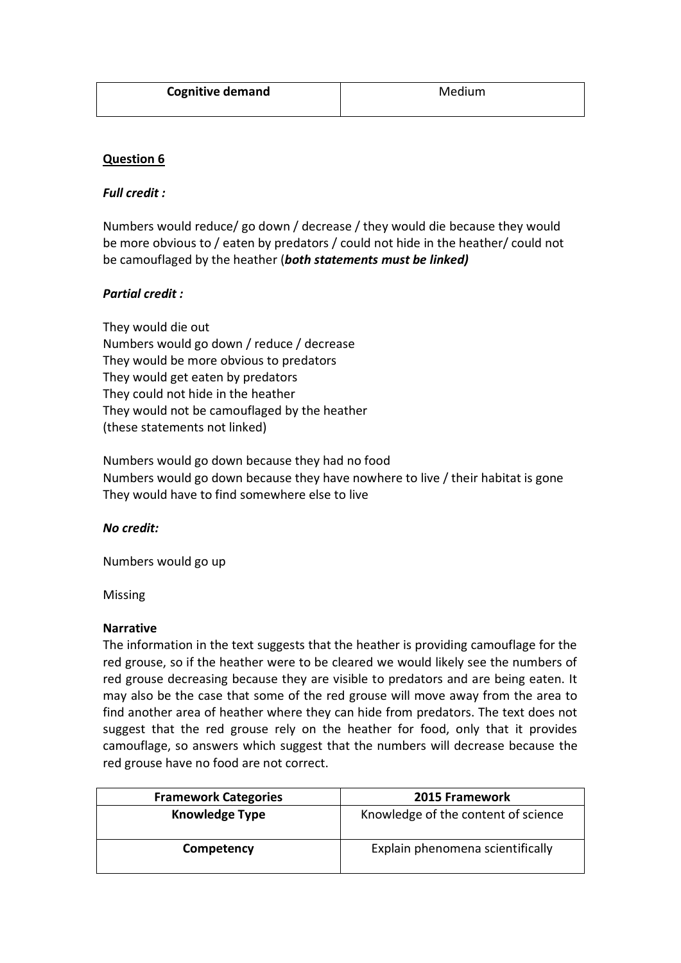| <b>Cognitive demand</b> | Medium |
|-------------------------|--------|
|                         |        |

# **Question 6**

#### *Full credit :*

Numbers would reduce/ go down / decrease / they would die because they would be more obvious to / eaten by predators / could not hide in the heather/ could not be camouflaged by the heather (*both statements must be linked)*

# *Partial credit :*

They would die out Numbers would go down / reduce / decrease They would be more obvious to predators They would get eaten by predators They could not hide in the heather They would not be camouflaged by the heather (these statements not linked)

Numbers would go down because they had no food Numbers would go down because they have nowhere to live / their habitat is gone They would have to find somewhere else to live

#### *No credit:*

Numbers would go up

Missing

#### **Narrative**

The information in the text suggests that the heather is providing camouflage for the red grouse, so if the heather were to be cleared we would likely see the numbers of red grouse decreasing because they are visible to predators and are being eaten. It may also be the case that some of the red grouse will move away from the area to find another area of heather where they can hide from predators. The text does not suggest that the red grouse rely on the heather for food, only that it provides camouflage, so answers which suggest that the numbers will decrease because the red grouse have no food are not correct.

| <b>Framework Categories</b> | <b>2015 Framework</b>               |
|-----------------------------|-------------------------------------|
| <b>Knowledge Type</b>       | Knowledge of the content of science |
| Competency                  | Explain phenomena scientifically    |